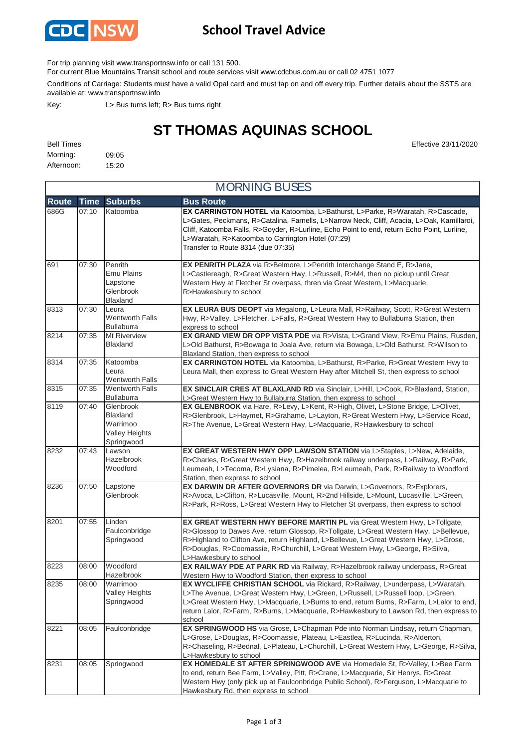

### **School Travel Advice**

For trip planning visit www.transportnsw.info or call 131 500.

For current Blue Mountains Transit school and route services visit www.cdcbus.com.au or call 02 4751 1077

Conditions of Carriage: Students must have a valid Opal card and must tap on and off every trip. Further details about the SSTS are available at: www.transportnsw.info

Key: L> Bus turns left; R> Bus turns right

# **ST THOMAS AQUINAS SCHOOL**

MORNING BUSES

| <b>Bell Times</b> |       | Effective 23/11/2020 |
|-------------------|-------|----------------------|
| Morning:          | 09:05 |                      |
| Afternoon: 15:20  |       |                      |

|       | <b>MURNING BUSES</b> |                                                                          |                                                                                                                                                                                                                                                                                                                                                                     |  |  |
|-------|----------------------|--------------------------------------------------------------------------|---------------------------------------------------------------------------------------------------------------------------------------------------------------------------------------------------------------------------------------------------------------------------------------------------------------------------------------------------------------------|--|--|
| Route | <b>Time</b>          | <b>Suburbs</b>                                                           | <b>Bus Route</b>                                                                                                                                                                                                                                                                                                                                                    |  |  |
| 686G  | 07:10                | Katoomba                                                                 | EX CARRINGTON HOTEL via Katoomba, L>Bathurst, L>Parke, R>Waratah, R>Cascade,<br>L>Gates, Peckmans, R>Catalina, Farnells, L>Narrow Neck, Cliff, Acacia, L>Oak, Kamillaroi,<br>Cliff, Katoomba Falls, R>Goyder, R>Lurline, Echo Point to end, return Echo Point, Lurline,<br>L>Waratah, R>Katoomba to Carrington Hotel (07:29)<br>Transfer to Route 8314 (due 07:35)  |  |  |
| 691   | 07:30                | Penrith<br>Emu Plains<br>Lapstone<br>Glenbrook<br>Blaxland               | EX PENRITH PLAZA via R>Belmore, L>Penrith Interchange Stand E, R>Jane,<br>L>Castlereagh, R>Great Western Hwy, L>Russell, R>M4, then no pickup until Great<br>Western Hwy at Fletcher St overpass, thren via Great Western, L>Macquarie,<br>R>Hawkesbury to school                                                                                                   |  |  |
| 8313  | 07:30                | Leura<br>Wentworth Falls<br><b>Bullaburra</b>                            | EX LEURA BUS DEOPT via Megalong, L>Leura Mall, R>Railway, Scott, R>Great Western<br>Hwy, R>Valley, L>Fletcher, L>Falls, R>Great Western Hwy to Bullaburra Station, then<br>express to school                                                                                                                                                                        |  |  |
| 8214  | 07:35                | Mt Riverview<br>Blaxland                                                 | EX GRAND VIEW DR OPP VISTA PDE via R>Vista, L>Grand View, R>Emu Plains, Rusden,<br>L>Old Bathurst, R>Bowaga to Joala Ave, return via Bowaga, L>Old Bathurst, R>Wilson to<br>Blaxland Station, then express to school                                                                                                                                                |  |  |
| 8314  | 07:35                | Katoomba<br>Leura<br>Wentworth Falls                                     | EX CARRINGTON HOTEL via Katoomba, L>Bathurst, R>Parke, R>Great Western Hwy to<br>Leura Mall, then express to Great Western Hwy after Mitchell St, then express to school                                                                                                                                                                                            |  |  |
| 8315  | 07:35                | <b>Wentworth Falls</b><br>Bullaburra                                     | EX SINCLAIR CRES AT BLAXLAND RD via Sinclair, L>Hill, L>Cook, R>Blaxland, Station,<br>L>Great Western Hwy to Bullaburra Station, then express to school                                                                                                                                                                                                             |  |  |
| 8119  | 07:40                | Glenbrook<br>Blaxland<br>Warrimoo<br><b>Valley Heights</b><br>Springwood | EX GLENBROOK via Hare, R>Levy, L>Kent, R>High, Olivet, L>Stone Bridge, L>Olivet,<br>R>Glenbrook, L>Haymet, R>Grahame, L>Layton, R>Great Western Hwy, L>Service Road,<br>R>The Avenue, L>Great Western Hwy, L>Macquarie, R>Hawkesbury to school                                                                                                                      |  |  |
| 8232  | 07:43                | Lawson<br>Hazelbrook<br>Woodford                                         | EX GREAT WESTERN HWY OPP LAWSON STATION via L>Staples, L>New, Adelaide,<br>R>Charles, R>Great Western Hwy, R>Hazelbrook railway underpass, L>Railway, R>Park,<br>Leumeah, L>Tecoma, R>Lysiana, R>Pimelea, R>Leumeah, Park, R>Railway to Woodford<br>Station, then express to school                                                                                 |  |  |
| 8236  | 07:50                | Lapstone<br>Glenbrook                                                    | EX DARWIN DR AFTER GOVERNORS DR via Darwin, L>Governors, R>Explorers,<br>R>Avoca, L>Clifton, R>Lucasville, Mount, R>2nd Hillside, L>Mount, Lucasville, L>Green,<br>R>Park, R>Ross, L>Great Western Hwy to Fletcher St overpass, then express to school                                                                                                              |  |  |
| 8201  | 07:55                | Linden<br>Faulconbridge<br>Springwood                                    | EX GREAT WESTERN HWY BEFORE MARTIN PL via Great Western Hwy, L>Tollgate,<br>R>Glossop to Dawes Ave, return Glossop, R>Tollgate, L>Great Western Hwy, L>Bellevue,<br>R>Highland to Clifton Ave, return Highland, L>Bellevue, L>Great Western Hwy, L>Grose,<br>R>Douglas, R>Coomassie, R>Churchill, L>Great Western Hwy, L>George, R>Silva,<br>L>Hawkesbury to school |  |  |
| 8223  | 08:00                | Woodford<br>Hazelbrook                                                   | EX RAILWAY PDE AT PARK RD via Railway, R>Hazelbrook railway underpass, R>Great<br>Western Hwy to Woodford Station, then express to school                                                                                                                                                                                                                           |  |  |
| 8235  | 08:00                | Warrimoo<br><b>Valley Heights</b><br>Springwood                          | EX WYCLIFFE CHRISTIAN SCHOOL via Rickard, R>Railway, L>underpass, L>Waratah,<br>L>The Avenue, L>Great Western Hwy, L>Green, L>Russell, L>Russell loop, L>Green,<br>L>Great Western Hwy, L>Macquarie, L>Burns to end, return Burns, R>Farm, L>Lalor to end,<br>return Lalor, R>Farm, R>Burns, L>Macquarie, R>Hawkesbury to Lawson Rd, then express to<br>school      |  |  |
| 8221  | 08:05                | Faulconbridge                                                            | EX SPRINGWOOD HS via Grose, L>Chapman Pde into Norman Lindsay, return Chapman,<br>L>Grose, L>Douglas, R>Coomassie, Plateau, L>Eastlea, R>Lucinda, R>Alderton,<br>R>Chaseling, R>Bednal, L>Plateau, L>Churchill, L>Great Western Hwy, L>George, R>Silva,<br>L>Hawkesbury to school                                                                                   |  |  |
| 8231  | 08:05                | Springwood                                                               | EX HOMEDALE ST AFTER SPRINGWOOD AVE via Homedale St, R>Valley, L>Bee Farm<br>to end, return Bee Farm, L>Valley, Pitt, R>Crane, L>Macquarie, Sir Henrys, R>Great<br>Western Hwy (only pick up at Faulconbridge Public School), R>Ferguson, L>Macquarie to<br>Hawkesbury Rd, then express to school                                                                   |  |  |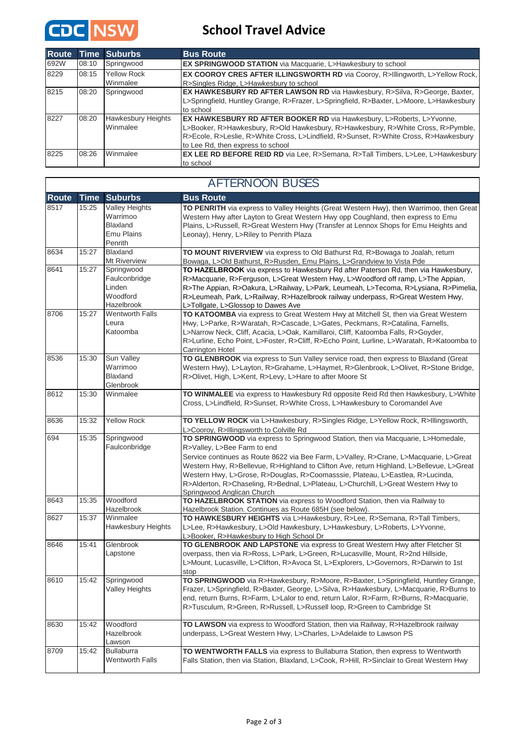

### **School Travel Advice**

| <b>Route</b> |       | <b>Time Suburbs</b> | <b>Bus Route</b>                                                                            |
|--------------|-------|---------------------|---------------------------------------------------------------------------------------------|
| 692W         | 08:10 | Springwood          | <b>EX SPRINGWOOD STATION</b> via Macquarie, L>Hawkesbury to school                          |
| 8229         | 08:15 | <b>Yellow Rock</b>  | <b>EX COOROY CRES AFTER ILLINGSWORTH RD via Cooroy, R&gt;Illingworth, L&gt;Yellow Rock,</b> |
|              |       | Winmalee            | R>Singles Ridge, L>Hawkesbury to school                                                     |
| 8215         | 08:20 | Springwood          | EX HAWKESBURY RD AFTER LAWSON RD via Hawkesbury, R>Silva, R>George, Baxter,                 |
|              |       |                     | L>Springfield, Huntley Grange, R>Frazer, L>Springfield, R>Baxter, L>Moore, L>Hawkesbury     |
|              |       |                     | to school                                                                                   |
| 8227         | 08:20 | Hawkesbury Heights  | <b>EX HAWKESBURY RD AFTER BOOKER RD via Hawkesbury, L&gt;Roberts, L&gt;Yvonne,</b>          |
|              |       | Winmalee            | L>Booker, R>Hawkesbury, R>Old Hawkesbury, R>Hawkesbury, R>White Cross, R>Pymble,            |
|              |       |                     | R>Ecole, R>Leslie, R>White Cross, L>Lindfield, R>Sunset, R>White Cross, R>Hawkesbury        |
|              |       |                     | to Lee Rd, then express to school                                                           |
| 8225         | 08:26 | Winmalee            | <b>EX LEE RD BEFORE REID RD</b> via Lee, R>Semana, R>Tall Timbers, L>Lee, L>Hawkesbury      |
|              |       |                     | to school                                                                                   |

#### **Route Time Suburbs Bus Route** 8517 15:25 Valley Heights Warrimoo Blaxland Emu Plains Penrith **TO PENRITH** via express to Valley Heights (Great Western Hwy), then Warrimoo, then Great Western Hwy after Layton to Great Western Hwy opp Coughland, then express to Emu Plains, L>Russell, R>Great Western Hwy (Transfer at Lennox Shops for Emu Heights and Leonay), Henry, L>Riley to Penrith Plaza 8634 15:27 Blaxland Mt Riverview **TO MOUNT RIVERVIEW** via express to Old Bathurst Rd, R>Bowaga to Joalah, return Bowaga, L>Old Bathurst, R>Rusden, Emu Plains, L>Grandview to Vista Pde 8641 15:27 Springwood Faulconbridge Linden Woodford Hazelbrook **TO HAZELBROOK** via express to Hawkesbury Rd after Paterson Rd, then via Hawkesbury, R>Macquarie, R>Ferguson, L>Great Western Hwy, L>Woodford off ramp, L>The Appian, R>The Appian, R>Oakura, L>Railway, L>Park, Leumeah, L>Tecoma, R>Lysiana, R>Pimelia, R>Leumeah, Park, L>Railway, R>Hazelbrook railway underpass, R>Great Western Hwy, L>Tollgate, L>Glossop to Dawes Ave 8706 15:27 Wentworth Falls Leura Katoomba **TO KATOOMBA** via express to Great Western Hwy at Mitchell St, then via Great Western Hwy, L>Parke, R>Waratah, R>Cascade, L>Gates, Peckmans, R>Catalina, Farnells, L>Narrow Neck, Cliff, Acacia, L>Oak, Kamillaroi, Cliff, Katoomba Falls, R>Goyder, R>Lurline, Echo Point, L>Foster, R>Cliff, R>Echo Point, Lurline, L>Waratah, R>Katoomba to Carrington Hotel 8536 15:30 Sun Valley Warrimoo Blaxland Glenbrook **TO GLENBROOK** via express to Sun Valley service road, then express to Blaxland (Great Western Hwy), L>Layton, R>Grahame, L>Haymet, R>Glenbrook, L>Olivet, R>Stone Bridge, R>Olivet, High, L>Kent, R>Levy, L>Hare to after Moore St 8612 15:30 Winmalee **TO WINMALEE** via express to Hawkesbury Rd opposite Reid Rd then Hawkesbury, L>White Cross, L>Lindfield, R>Sunset, R>White Cross, L>Hawkesbury to Coromandel Ave 8636 15:32 Yellow Rock **TO YELLOW ROCK** via L>Hawkesbury, R>Singles Ridge, L>Yellow Rock, R>Illingsworth, L>Cooroy, R>Illingsworth to Colville Rd 694 15:35 Springwood Faulconbridge **TO SPRINGWOOD** via express to Springwood Station, then via Macquarie, L>Homedale, R>Valley, L>Bee Farm to end Service continues as Route 8622 via Bee Farm, L>Valley, R>Crane, L>Macquarie, L>Great Western Hwy, R>Bellevue, R>Highland to Clifton Ave, return Highland, L>Bellevue, L>Great Western Hwy, L>Grose, R>Douglas, R>Coomasssie, Plateau, L>Eastlea, R>Lucinda, R>Alderton, R>Chaseling, R>Bednal, L>Plateau, L>Churchill, L>Great Western Hwy to Springwood Anglican Church 8643 15:35 Woodford Hazelbrook **TO HAZELBROOK STATION** via express to Woodford Station, then via Railway to Hazelbrook Station. Continues as Route 685H (see below). 8627 15:37 Winmalee Hawkesbury Heights **TO HAWKESBURY HEIGHTS** via L>Hawkesbury, R>Lee, R>Semana, R>Tall Timbers, L>Lee, R>Hawkesbury, L>Old Hawkesbury, L>Hawkesbury, L>Roberts, L>Yvonne, L>Booker, R>Hawkesbury to High School Dr 8646 15:41 Glenbrook Lapstone **TO GLENBROOK AND LAPSTONE** via express to Great Western Hwy after Fletcher St overpass, then via R>Ross, L>Park, L>Green, R>Lucasville, Mount, R>2nd Hillside, L>Mount, Lucasville, L>Clifton, R>Avoca St, L>Explorers, L>Governors, R>Darwin to 1st stop 8610 15:42 Springwood Valley Heights **TO SPRINGWOOD** via R>Hawkesbury, R>Moore, R>Baxter, L>Springfield, Huntley Grange, Frazer, L>Springfield, R>Baxter, George, L>Silva, R>Hawkesbury, L>Macquarie, R>Burns to end, return Burns, R>Farm, L>Lalor to end, return Lalor, R>Farm, R>Burns, R>Macquarie, R>Tusculum, R>Green, R>Russell, L>Russell loop, R>Green to Cambridge St 8630 15:42 Woodford Hazelbrook Lawson **TO LAWSON** via express to Woodford Station, then via Railway, R>Hazelbrook railway underpass, L>Great Western Hwy, L>Charles, L>Adelaide to Lawson PS 8709 15:42 Bullaburra Wentworth Falls **TO WENTWORTH FALLS** via express to Bullaburra Station, then express to Wentworth Falls Station, then via Station, Blaxland, L>Cook, R>Hill, R>Sinclair to Great Western Hwy AFTERNOON BUSES